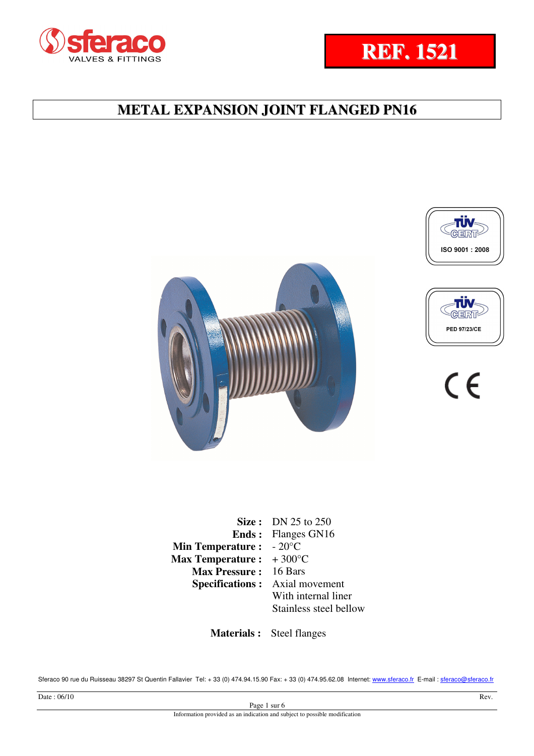









 $\epsilon$ 

|                         | Size: DN $25$ to $250$    |
|-------------------------|---------------------------|
|                         | <b>Ends:</b> Flanges GN16 |
| <b>Min Temperature:</b> | $-20^{\circ}$ C           |
| <b>Max Temperature:</b> | $+300^{\circ}$ C          |
| <b>Max Pressure :</b>   | 16 Bars                   |
| <b>Specifications:</b>  | Axial movement            |
|                         | With internal liner       |
|                         | Stainless steel bellow    |
|                         |                           |

 **Materials :** Steel flanges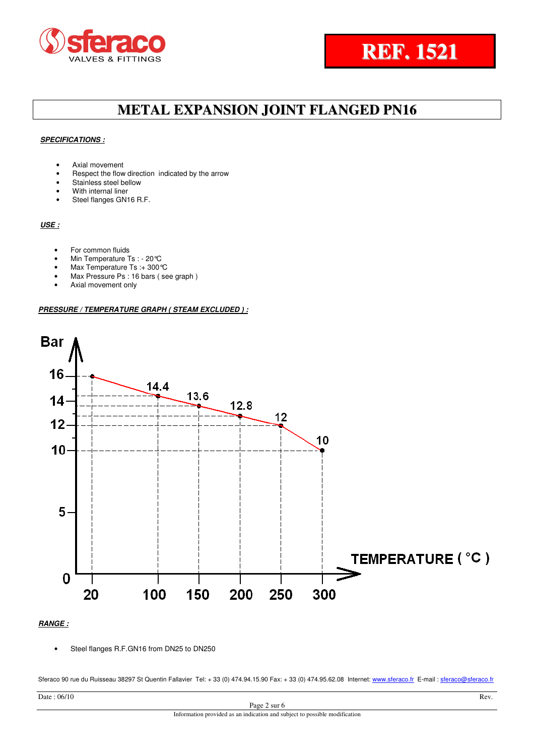



## **SPECIFICATIONS :**

- Axial movement
- Respect the flow direction indicated by the arrow
- Stainless steel bellow
- With internal liner
- Steel flanges GN16 R.F.

## **USE :**

- For common fluids
- Min Temperature Ts : 20 °C
- Max Temperature Ts :+ 300°C
- Max Pressure Ps : 16 bars ( see graph )
- Axial movement only

### **PRESSURE / TEMPERATURE GRAPH ( STEAM EXCLUDED ) :**



## **RANGE :**

• Steel flanges R.F.GN16 from DN25 to DN250

| Date: 06/10                                                                | Rev. |
|----------------------------------------------------------------------------|------|
| Page 2 sur 6                                                               |      |
| Information provided as an indication and subject to possible modification |      |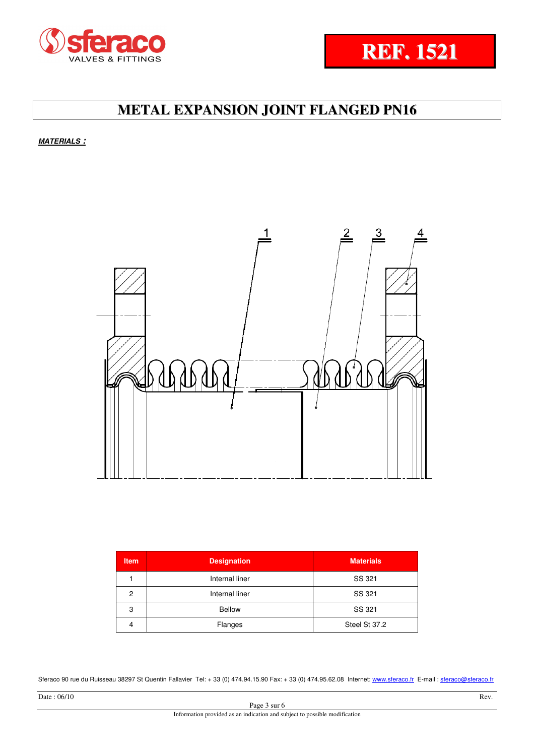



**MATERIALS :**



| <b>Item</b> | <b>Designation</b> | <b>Materials</b> |
|-------------|--------------------|------------------|
|             | Internal liner     | SS 321           |
| 2           | Internal liner     | SS 321           |
| 3           | <b>Bellow</b>      | SS 321           |
| 4           | Flanges            | Steel St 37.2    |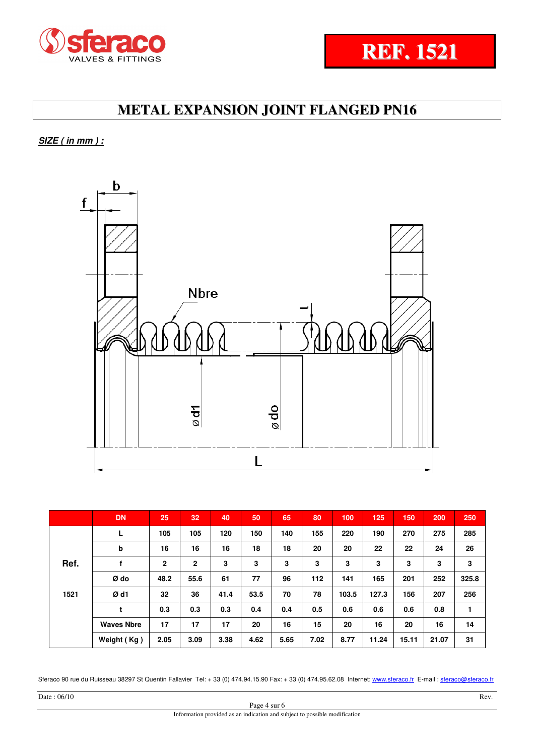



**SIZE ( in mm ) :**



|      | <b>DN</b>         | 25           | 32           | 40   | 50   | 65   | 80   | 100   | 125   | 150   | 200   | 250   |
|------|-------------------|--------------|--------------|------|------|------|------|-------|-------|-------|-------|-------|
|      | L                 | 105          | 105          | 120  | 150  | 140  | 155  | 220   | 190   | 270   | 275   | 285   |
|      | b                 | 16           | 16           | 16   | 18   | 18   | 20   | 20    | 22    | 22    | 24    | 26    |
| Ref. |                   | $\mathbf{2}$ | $\mathbf{2}$ | 3    | 3    | 3    | 3    | 3     | 3     | 3     | 3     | 3     |
|      | Ø do              | 48.2         | 55.6         | 61   | 77   | 96   | 112  | 141   | 165   | 201   | 252   | 325.8 |
| 1521 | Ød1               | 32           | 36           | 41.4 | 53.5 | 70   | 78   | 103.5 | 127.3 | 156   | 207   | 256   |
|      | t                 | 0.3          | 0.3          | 0.3  | 0.4  | 0.4  | 0.5  | 0.6   | 0.6   | 0.6   | 0.8   | 1     |
|      | <b>Waves Nbre</b> | 17           | 17           | 17   | 20   | 16   | 15   | 20    | 16    | 20    | 16    | 14    |
|      | Weight (Kg)       | 2.05         | 3.09         | 3.38 | 4.62 | 5.65 | 7.02 | 8.77  | 11.24 | 15.11 | 21.07 | 31    |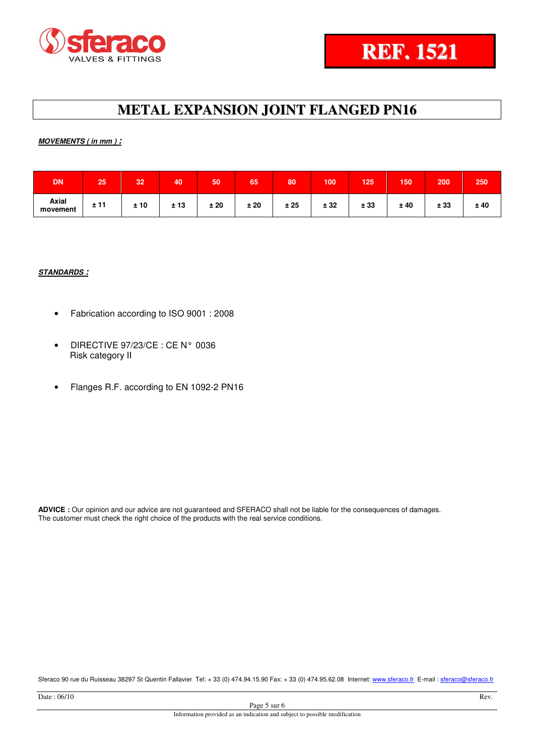



## **MOVEMENTS ( in mm ) :**

| <b>DN</b>         | 25   | 32  | 40       | 50  | 65   | 80  | 100  | 125  | 150 | 200  | 250 |
|-------------------|------|-----|----------|-----|------|-----|------|------|-----|------|-----|
| Axial<br>movement | ± 11 | ±10 | ±13<br>∸ | ±20 | ± 20 | ±25 | ± 32 | ± 33 | ±40 | ± 33 | ±40 |

## **STANDARDS :**

- Fabrication according to ISO 9001 : 2008
- DIRECTIVE 97/23/CE : CE N° 0036 Risk category II
- Flanges R.F. according to EN 1092-2 PN16

**ADVICE :** Our opinion and our advice are not guaranteed and SFERACO shall not be liable for the consequences of damages. The customer must check the right choice of the products with the real service conditions.